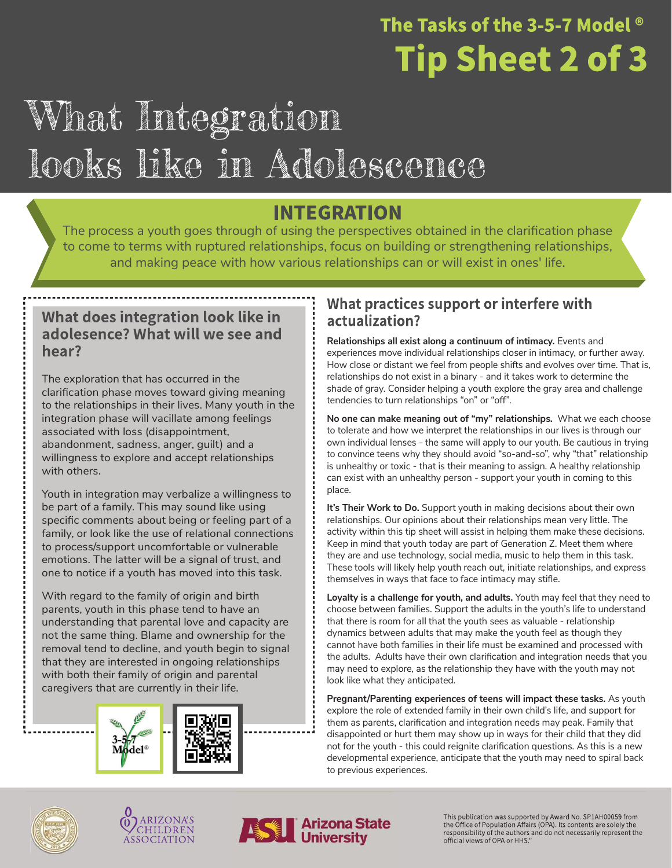### The Tasks of the 3-5-7 Model  $^{\circ}$ **Tip Sheet 2 of 3**

## What Integration looks like in Adolescence

### **INTEGRATION**

The process a youth goes through of using the perspectives obtained in the clarification phase to come to terms with ruptured relationships, focus on building or strengthening relationships, and making peace with how various relationships can or will exist in ones' life.

#### What does integration look like in adolesence? What will we see and hear?

The exploration that has occurred in the clarification phase moves toward giving meaning to the relationships in their lives. Many youth in the integration phase will vacillate among feelings associated with loss (disappointment, abandonment, sadness, anger, guilt) and a willingness to explore and accept relationships with others.

Youth in integration may verbalize a willingness to be part of a family. This may sound like using specific comments about being or feeling part of a family, or look like the use of relational connections to process/support uncomfortable or vulnerable emotions. The latter will be a signal of trust, and one to notice if a youth has moved into this task.

With regard to the family of origin and birth parents, youth in this phase tend to have an understanding that parental love and capacity are not the same thing. Blame and ownership for the removal tend to decline, and youth begin to signal that they are interested in ongoing relationships with both their family of origin and parental caregivers that are currently in their life.



#### What practices support or interfere with actualization?

Relationships all exist along a continuum of intimacy. Events and experiences move individual relationships closer in intimacy, or further away. How close or distant we feel from people shifts and evolves over time. That is, relationships do not exist in a binary - and it takes work to determine the shade of gray. Consider helping a youth explore the gray area and challenge tendencies to turn relationships "on" or "off".

No one can make meaning out of "my" relationships. What we each choose to tolerate and how we interpret the relationships in our lives is through our own individual lenses - the same will apply to our youth. Be cautious in trying to convince teens why they should avoid "so-and-so", why "that" relationship is unhealthy or toxic - that is their meaning to assign. A healthy relationship can exist with an unhealthy person - support your youth in coming to this place.

It's Their Work to Do. Support youth in making decisions about their own relationships. Our opinions about their relationships mean very little. The activity within this tip sheet will assist in helping them make these decisions. Keep in mind that youth today are part of Generation Z. Meet them where they are and use technology, social media, music to help them in this task. These tools will likely help youth reach out, initiate relationships, and express themselves in ways that face to face intimacy may stifle.

Loyalty is a challenge for youth, and adults. Youth may feel that they need to choose between families. Support the adults in the youth's life to understand that there is room for all that the youth sees as valuable - relationship dynamics between adults that may make the youth feel as though they cannot have both families in their life must be examined and processed with the adults. Adults have their own clarification and integration needs that you may need to explore, as the relationship they have with the youth may not look like what they anticipated.

Pregnant/Parenting experiences of teens will impact these tasks. As youth explore the role of extended family in their own child's life, and support for them as parents, clarification and integration needs may peak. Family that disappointed or hurt them may show up in ways for their child that they did not for the youth - this could reignite clarification questions. As this is a new developmental experience, anticipate that the youth may need to spiral back to previous experiences.







This publication was supported by Award No. SP1AH00059 from<br>the Office of Population Affairs (OPA). Its contents are solely the responsibility of the authors and do not necessarily represent the official views of OPA or HHS."